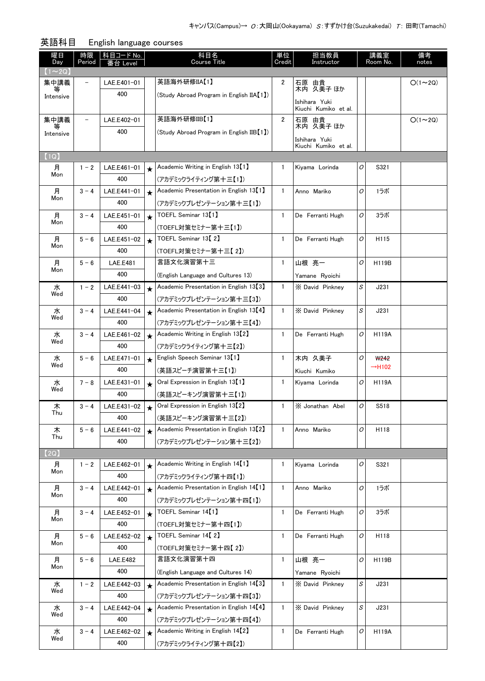| 英語科目<br>English language courses |                          |                         |         |                                                    |              |                                                    |   |                    |               |  |
|----------------------------------|--------------------------|-------------------------|---------|----------------------------------------------------|--------------|----------------------------------------------------|---|--------------------|---------------|--|
| 曜日<br>Day<br>$(1 \sim 2Q)$       | 時限<br>Period             | │ 科目コード No.<br>番台 Level |         | 科目名<br><b>Course Title</b>                         | 単位<br>Credit | 担当教員<br>Instructor                                 |   | 講義室<br>Room No.    | 備考<br>notes   |  |
| 集中講義                             | $\overline{\phantom{0}}$ | LAE.E401-01             |         | 英語海外研修IIA【1】                                       | 2            | 石原 由貴                                              |   |                    | $O(1\sim 2Q)$ |  |
| 等<br>Intensive                   |                          | 400                     |         | (Study Abroad Program in English IIA【1】)           |              | 木内 久美子 ほか<br>Ishihara Yuki<br>Kiuchi Kumiko et al. |   |                    |               |  |
| 集中講義                             | $\overline{\phantom{0}}$ | LAE.E402-01             |         | 英語海外研修IIB【1】                                       | 2            | 石原 由貴                                              |   |                    | $O(1\sim 2Q)$ |  |
| 等<br>Intensive                   |                          | 400                     |         | (Study Abroad Program in English IIB [1])          |              | 木内 久美子 ほか                                          |   |                    |               |  |
|                                  |                          |                         |         |                                                    |              | Ishihara Yuki<br>Kiuchi Kumiko et al.              |   |                    |               |  |
| (1Q)                             |                          |                         |         |                                                    |              |                                                    |   |                    |               |  |
| 月                                | $1 - 2$                  | LAE.E461-01             | $\star$ | Academic Writing in English 13 <sup>[1]</sup>      | 1            | Kiyama Lorinda                                     | 0 | S321               |               |  |
| Mon                              |                          | 400                     |         | (アカデミックライティング第十三【1】)                               |              |                                                    |   |                    |               |  |
| 月                                | $3 - 4$                  | LAE.E441-01             | $\star$ | Academic Presentation in English 13 <sup>[1]</sup> | $\mathbf{1}$ | Anno Mariko                                        | 0 | 1ラボ                |               |  |
| Mon                              |                          | 400                     |         | (アカデミックプレゼンテーション第十三【1】)                            |              |                                                    |   |                    |               |  |
| 月                                | $3 - 4$                  | LAE.E451-01             | $\star$ | TOEFL Seminar 13【1】                                | $\mathbf{1}$ | De Ferranti Hugh                                   | 0 | 3ラボ                |               |  |
| Mon                              |                          | 400                     |         | (TOEFL対策セミナー第十三【1】)                                |              |                                                    |   |                    |               |  |
| 月                                | $5 - 6$                  | LAE.E451-02             | $\star$ | TOEFL Seminar 13 <sup>[2]</sup>                    | $\mathbf{1}$ | De Ferranti Hugh                                   | 0 | H115               |               |  |
| Mon                              |                          | 400                     |         | (TOEFL対策セミナー第十三【 2】)                               |              |                                                    |   |                    |               |  |
| 月                                | $5 - 6$                  | <b>LAE.E481</b>         |         | 言語文化演習第十三                                          | $\mathbf{1}$ | 山根 亮一                                              | 0 | H119B              |               |  |
| Mon                              |                          | 400                     |         | (English Language and Cultures 13)                 |              | Yamane Ryoichi                                     |   |                    |               |  |
| 水                                | $1 - 2$                  | LAE.E441-03             | $\star$ | Academic Presentation in English 13 <sup>[3]</sup> | $\mathbf{1}$ | X David Pinkney                                    | S | J231               |               |  |
| Wed                              |                          | 400                     |         | (アカデミックプレゼンテーション第十三【3】)                            |              |                                                    |   |                    |               |  |
| 水                                | $3 - 4$                  | LAE.E441-04             | $\star$ | Academic Presentation in English 13 <sup>[4]</sup> | $\mathbf{1}$ | X David Pinkney                                    | S | J231               |               |  |
| Wed                              |                          | 400                     |         | (アカデミックプレゼンテーション第十三【4】)                            |              |                                                    |   |                    |               |  |
| 水                                | $3 - 4$                  | LAE.E461-02             | $\star$ | Academic Writing in English 13 [2]                 | $\mathbf{1}$ | De Ferranti Hugh                                   | 0 | <b>H119A</b>       |               |  |
| Wed                              |                          | 400                     |         | (アカデミックライティング第十三【2】)                               |              |                                                    |   |                    |               |  |
| 水                                | $5 - 6$                  | LAE.E471-01             | $\star$ | English Speech Seminar 13 <sup>[1]</sup>           | $\mathbf{1}$ | 木内 久美子                                             | 0 | <b>W242</b>        |               |  |
| Wed                              |                          | 400                     |         | (英語スピーチ演習第十三【1】)                                   |              | Kiuchi Kumiko                                      |   | $\rightarrow$ H102 |               |  |
| 水                                | $7 - 8$                  | LAE.E431-01             | $\star$ | Oral Expression in English 13 <sup>[1]</sup>       | 1            | Kiyama Lorinda                                     | 0 | <b>H119A</b>       |               |  |
| Wed                              |                          | 400                     |         | (英語スピーキング演習第十三【1】)                                 |              |                                                    |   |                    |               |  |
| 木                                | $3 - 4$                  | LAE.E431-02             | $\star$ | Oral Expression in English 13 <sup>[2]</sup>       | $\mathbf{1}$ | X Jonathan Abel                                    | 0 | S518               |               |  |
| Thu                              |                          | 400                     |         | (英語スピーキング演習第十三【2】)                                 |              |                                                    |   |                    |               |  |
| 木                                | $5 - 6$                  | LAE.E441-02             | $\star$ | Academic Presentation in English 13 <sup>[2]</sup> | $\mathbf{1}$ | Anno Mariko                                        | 0 | H118               |               |  |
| Thu                              |                          | 400                     |         | (アカデミックプレゼンテーション第十三【2】)                            |              |                                                    |   |                    |               |  |
| $\left( 2Q\right)$               |                          |                         |         |                                                    |              |                                                    |   |                    |               |  |
| 月                                | $1 - 2$                  | LAE.E462-01             | $\star$ | Academic Writing in English 14 [1]                 | 1            | Kiyama Lorinda                                     | 0 | S321               |               |  |
| Mon                              |                          | 400                     |         | (アカデミックライティング第十四【1】)                               |              |                                                    |   |                    |               |  |
| 月                                | $3 - 4$                  | LAE.E442-01             | $\star$ | Academic Presentation in English 14 <sup>[1]</sup> | $\mathbf{1}$ | Anno Mariko                                        | 0 | 1ラボ                |               |  |
| Mon                              |                          | 400                     |         | (アカデミックプレゼンテーション第十四【1】)                            |              |                                                    |   |                    |               |  |
| 月                                | $3 - 4$                  | LAE.E452-01             | $\star$ | TOEFL Seminar 14 <sup>[1]</sup>                    | $\mathbf{1}$ | De Ferranti Hugh                                   | 0 | 3ラボ                |               |  |
| Mon                              |                          | 400                     |         | (TOEFL対策セミナー第十四【1】)                                |              |                                                    |   |                    |               |  |
| 月                                | $5 - 6$                  | LAE.E452-02             | $\star$ | TOEFL Seminar 14 <sup>[2]</sup>                    | $\mathbf{1}$ | De Ferranti Hugh                                   | 0 | H118               |               |  |
| Mon                              |                          | 400                     |         | (TOEFL対策セミナー第十四【2】)                                |              |                                                    |   |                    |               |  |
| 月                                | $5 - 6$                  | <b>LAE.E482</b>         |         | 言語文化演習第十四                                          | $\mathbf{1}$ | 山根 亮一                                              | O | H119B              |               |  |
| Mon                              |                          | 400                     |         | (English Language and Cultures 14)                 |              | Yamane Ryoichi                                     |   |                    |               |  |
| 水                                | $1 - 2$                  | LAE.E442-03             | $\star$ | Academic Presentation in English 14 <sup>[3]</sup> | $\mathbf{1}$ | X David Pinkney                                    | S | J231               |               |  |
| Wed                              |                          | 400                     |         | (アカデミックプレゼンテーション第十四【3】)                            |              |                                                    |   |                    |               |  |
| 水                                | $3 - 4$                  | LAE.E442-04             | $\star$ | Academic Presentation in English 14 <sup>[4]</sup> | $\mathbf{1}$ | X David Pinkney                                    | S | J231               |               |  |
| Wed                              |                          | 400                     |         | (アカデミックプレゼンテーション第十四【4】)                            |              |                                                    |   |                    |               |  |
| 水                                | $3 - 4$                  | LAE.E462-02             | $\star$ | Academic Writing in English 14 <sup>[2]</sup>      | $\mathbf{1}$ | De Ferranti Hugh                                   | 0 | H119A              |               |  |
| Wed                              |                          | 400                     |         | (アカデミックライティング第十四【2】)                               |              |                                                    |   |                    |               |  |